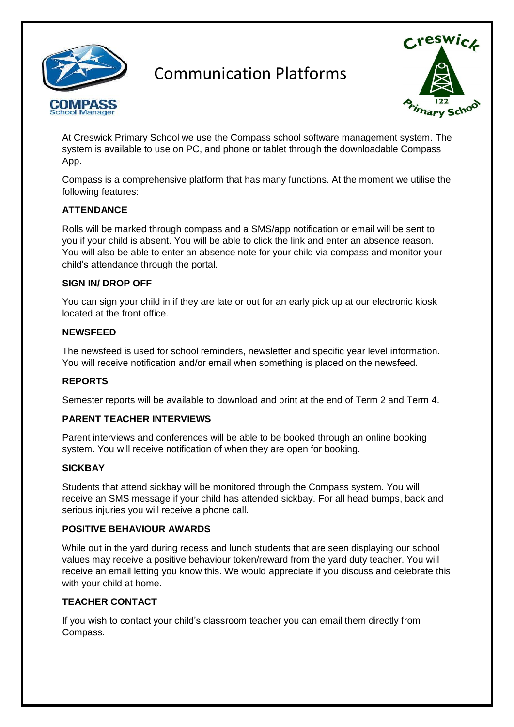

Communication Platforms



At Creswick Primary School we use the Compass school software management system. The system is available to use on PC, and phone or tablet through the downloadable Compass App.

Compass is a comprehensive platform that has many functions. At the moment we utilise the following features:

# **ATTENDANCE**

Rolls will be marked through compass and a SMS/app notification or email will be sent to you if your child is absent. You will be able to click the link and enter an absence reason. You will also be able to enter an absence note for your child via compass and monitor your child's attendance through the portal.

#### **SIGN IN/ DROP OFF**

You can sign your child in if they are late or out for an early pick up at our electronic kiosk located at the front office.

#### **NEWSFEED**

The newsfeed is used for school reminders, newsletter and specific year level information. You will receive notification and/or email when something is placed on the newsfeed.

#### **REPORTS**

Semester reports will be available to download and print at the end of Term 2 and Term 4.

#### **PARENT TEACHER INTERVIEWS**

Parent interviews and conferences will be able to be booked through an online booking system. You will receive notification of when they are open for booking.

#### **SICKBAY**

Students that attend sickbay will be monitored through the Compass system. You will receive an SMS message if your child has attended sickbay. For all head bumps, back and serious injuries you will receive a phone call.

## **POSITIVE BEHAVIOUR AWARDS**

While out in the yard during recess and lunch students that are seen displaying our school values may receive a positive behaviour token/reward from the yard duty teacher. You will receive an email letting you know this. We would appreciate if you discuss and celebrate this with your child at home.

## **TEACHER CONTACT**

If you wish to contact your child's classroom teacher you can email them directly from Compass.